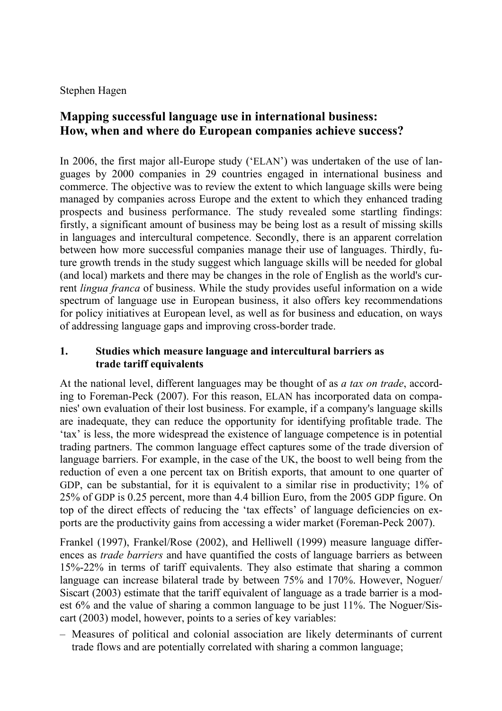### Stephen Hagen

# **Mapping successful language use in international business: How, when and where do European companies achieve success?**

In 2006, the first major all-Europe study ('ELAN') was undertaken of the use of languages by 2000 companies in 29 countries engaged in international business and commerce. The objective was to review the extent to which language skills were being managed by companies across Europe and the extent to which they enhanced trading prospects and business performance. The study revealed some startling findings: firstly, a significant amount of business may be being lost as a result of missing skills in languages and intercultural competence. Secondly, there is an apparent correlation between how more successful companies manage their use of languages. Thirdly, future growth trends in the study suggest which language skills will be needed for global (and local) markets and there may be changes in the role of English as the world's current *lingua franca* of business. While the study provides useful information on a wide spectrum of language use in European business, it also offers key recommendations for policy initiatives at European level, as well as for business and education, on ways of addressing language gaps and improving cross-border trade.

### **1. Studies which measure language and intercultural barriers as trade tariff equivalents**

At the national level, different languages may be thought of as *a tax on trade*, according to Foreman-Peck (2007). For this reason, ELAN has incorporated data on companies' own evaluation of their lost business. For example, if a company's language skills are inadequate, they can reduce the opportunity for identifying profitable trade. The 'tax' is less, the more widespread the existence of language competence is in potential trading partners. The common language effect captures some of the trade diversion of language barriers. For example, in the case of the UK, the boost to well being from the reduction of even a one percent tax on British exports, that amount to one quarter of GDP, can be substantial, for it is equivalent to a similar rise in productivity; 1% of 25% of GDP is 0.25 percent, more than 4.4 billion Euro, from the 2005 GDP figure. On top of the direct effects of reducing the 'tax effects' of language deficiencies on exports are the productivity gains from accessing a wider market (Foreman-Peck 2007).

Frankel (1997), Frankel/Rose (2002), and Helliwell (1999) measure language differences as *trade barriers* and have quantified the costs of language barriers as between 15%-22% in terms of tariff equivalents. They also estimate that sharing a common language can increase bilateral trade by between 75% and 170%. However, Noguer/ Siscart (2003) estimate that the tariff equivalent of language as a trade barrier is a modest 6% and the value of sharing a common language to be just 11%. The Noguer/Siscart (2003) model, however, points to a series of key variables:

– Measures of political and colonial association are likely determinants of current trade flows and are potentially correlated with sharing a common language;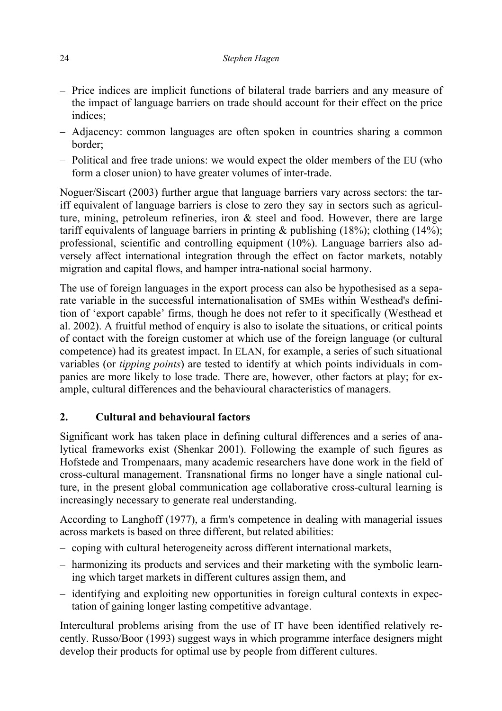#### 24 *Stephen Hagen*

- Price indices are implicit functions of bilateral trade barriers and any measure of the impact of language barriers on trade should account for their effect on the price indices;
- Adjacency: common languages are often spoken in countries sharing a common border;
- Political and free trade unions: we would expect the older members of the EU (who form a closer union) to have greater volumes of inter-trade.

Noguer/Siscart (2003) further argue that language barriers vary across sectors: the tariff equivalent of language barriers is close to zero they say in sectors such as agriculture, mining, petroleum refineries, iron & steel and food. However, there are large tariff equivalents of language barriers in printing & publishing (18%); clothing (14%); professional, scientific and controlling equipment (10%). Language barriers also adversely affect international integration through the effect on factor markets, notably migration and capital flows, and hamper intra-national social harmony.

The use of foreign languages in the export process can also be hypothesised as a separate variable in the successful internationalisation of SMEs within Westhead's definition of 'export capable' firms, though he does not refer to it specifically (Westhead et al. 2002). A fruitful method of enquiry is also to isolate the situations, or critical points of contact with the foreign customer at which use of the foreign language (or cultural competence) had its greatest impact. In ELAN, for example, a series of such situational variables (or *tipping points*) are tested to identify at which points individuals in companies are more likely to lose trade. There are, however, other factors at play; for example, cultural differences and the behavioural characteristics of managers.

### **2. Cultural and behavioural factors**

Significant work has taken place in defining cultural differences and a series of analytical frameworks exist (Shenkar 2001). Following the example of such figures as Hofstede and Trompenaars, many academic researchers have done work in the field of cross-cultural management. Transnational firms no longer have a single national culture, in the present global communication age collaborative cross-cultural learning is increasingly necessary to generate real understanding.

According to Langhoff (1977), a firm's competence in dealing with managerial issues across markets is based on three different, but related abilities:

- coping with cultural heterogeneity across different international markets,
- harmonizing its products and services and their marketing with the symbolic learning which target markets in different cultures assign them, and
- identifying and exploiting new opportunities in foreign cultural contexts in expectation of gaining longer lasting competitive advantage.

Intercultural problems arising from the use of IT have been identified relatively recently. Russo/Boor (1993) suggest ways in which programme interface designers might develop their products for optimal use by people from different cultures.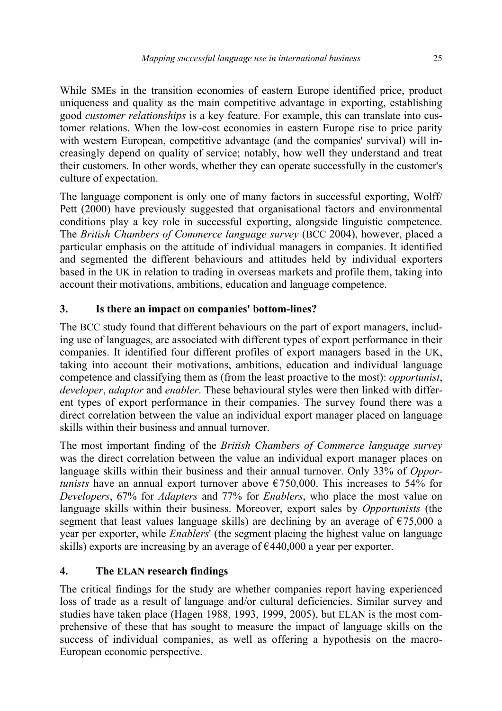While SMEs in the transition economies of eastern Europe identified price, product uniqueness and quality as the main competitive advantage in exporting, establishing good *customer relationships* is a key feature. For example, this can translate into customer relations. When the low-cost economies in eastern Europe rise to price parity with western European, competitive advantage (and the companies' survival) will increasingly depend on quality of service; notably, how well they understand and treat their customers. In other words, whether they can operate successfully in the customer's culture of expectation.

The language component is only one of many factors in successful exporting, Wolff/ Pett (2000) have previously suggested that organisational factors and environmental conditions play a key role in successful exporting, alongside linguistic competence. The *British Chambers of Commerce language survey* (BCC 2004), however, placed a particular emphasis on the attitude of individual managers in companies. It identified and segmented the different behaviours and attitudes held by individual exporters based in the UK in relation to trading in overseas markets and profile them, taking into account their motivations, ambitions, education and language competence.

## **3. Is there an impact on companies' bottom-lines?**

The BCC study found that different behaviours on the part of export managers, including use of languages, are associated with different types of export performance in their companies. It identified four different profiles of export managers based in the UK, taking into account their motivations, ambitions, education and individual language competence and classifying them as (from the least proactive to the most): *opportunist*, *developer*, *adaptor* and *enabler*. These behavioural styles were then linked with different types of export performance in their companies. The survey found there was a direct correlation between the value an individual export manager placed on language skills within their business and annual turnover.

The most important finding of the *British Chambers of Commerce language survey* was the direct correlation between the value an individual export manager places on language skills within their business and their annual turnover. Only 33% of *Opportunists* have an annual export turnover above  $\epsilon$ 750,000. This increases to 54% for *Developers*, 67% for *Adapters* and 77% for *Enablers*, who place the most value on language skills within their business. Moreover, export sales by *Opportunists* (the segment that least values language skills) are declining by an average of  $\epsilon$ 75,000 a year per exporter, while *Enablers*' (the segment placing the highest value on language skills) exports are increasing by an average of  $\epsilon$ 440,000 a year per exporter.

## **4. The ELAN research findings**

The critical findings for the study are whether companies report having experienced loss of trade as a result of language and/or cultural deficiencies. Similar survey and studies have taken place (Hagen 1988, 1993, 1999, 2005), but ELAN is the most comprehensive of these that has sought to measure the impact of language skills on the success of individual companies, as well as offering a hypothesis on the macro-European economic perspective.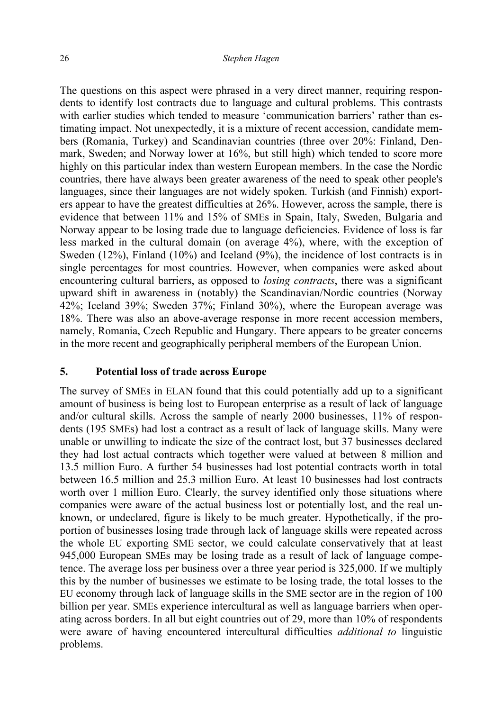The questions on this aspect were phrased in a very direct manner, requiring respondents to identify lost contracts due to language and cultural problems. This contrasts with earlier studies which tended to measure 'communication barriers' rather than estimating impact. Not unexpectedly, it is a mixture of recent accession, candidate members (Romania, Turkey) and Scandinavian countries (three over 20%: Finland, Denmark, Sweden; and Norway lower at 16%, but still high) which tended to score more highly on this particular index than western European members. In the case the Nordic countries, there have always been greater awareness of the need to speak other people's languages, since their languages are not widely spoken. Turkish (and Finnish) exporters appear to have the greatest difficulties at 26%. However, across the sample, there is evidence that between 11% and 15% of SMEs in Spain, Italy, Sweden, Bulgaria and Norway appear to be losing trade due to language deficiencies. Evidence of loss is far less marked in the cultural domain (on average 4%), where, with the exception of Sweden (12%), Finland (10%) and Iceland (9%), the incidence of lost contracts is in single percentages for most countries. However, when companies were asked about encountering cultural barriers, as opposed to *losing contracts*, there was a significant upward shift in awareness in (notably) the Scandinavian/Nordic countries (Norway 42%; Iceland 39%; Sweden 37%; Finland 30%), where the European average was 18%. There was also an above-average response in more recent accession members, namely, Romania, Czech Republic and Hungary. There appears to be greater concerns in the more recent and geographically peripheral members of the European Union.

#### **5. Potential loss of trade across Europe**

The survey of SMEs in ELAN found that this could potentially add up to a significant amount of business is being lost to European enterprise as a result of lack of language and/or cultural skills. Across the sample of nearly 2000 businesses, 11% of respondents (195 SMEs) had lost a contract as a result of lack of language skills. Many were unable or unwilling to indicate the size of the contract lost, but 37 businesses declared they had lost actual contracts which together were valued at between 8 million and 13.5 million Euro. A further 54 businesses had lost potential contracts worth in total between 16.5 million and 25.3 million Euro. At least 10 businesses had lost contracts worth over 1 million Euro. Clearly, the survey identified only those situations where companies were aware of the actual business lost or potentially lost, and the real unknown, or undeclared, figure is likely to be much greater. Hypothetically, if the proportion of businesses losing trade through lack of language skills were repeated across the whole EU exporting SME sector, we could calculate conservatively that at least 945,000 European SMEs may be losing trade as a result of lack of language competence. The average loss per business over a three year period is 325,000. If we multiply this by the number of businesses we estimate to be losing trade, the total losses to the EU economy through lack of language skills in the SME sector are in the region of 100 billion per year. SMEs experience intercultural as well as language barriers when operating across borders. In all but eight countries out of 29, more than 10% of respondents were aware of having encountered intercultural difficulties *additional to* linguistic problems.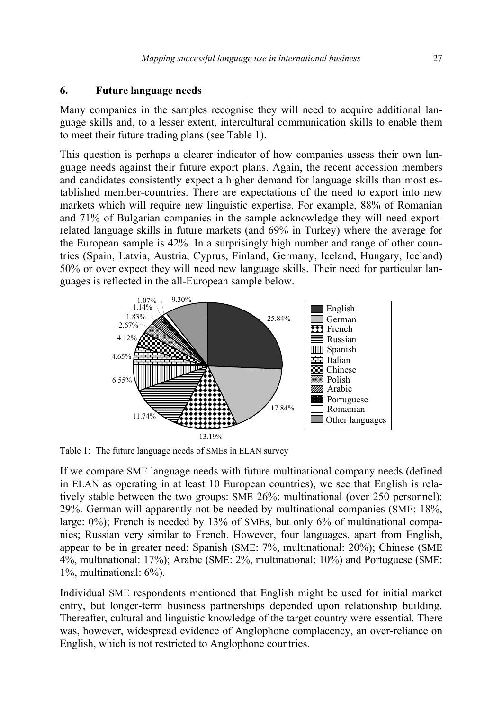### **6. Future language needs**

Many companies in the samples recognise they will need to acquire additional language skills and, to a lesser extent, intercultural communication skills to enable them to meet their future trading plans (see Table 1).

This question is perhaps a clearer indicator of how companies assess their own language needs against their future export plans. Again, the recent accession members and candidates consistently expect a higher demand for language skills than most established member-countries. There are expectations of the need to export into new markets which will require new linguistic expertise. For example, 88% of Romanian and 71% of Bulgarian companies in the sample acknowledge they will need exportrelated language skills in future markets (and 69% in Turkey) where the average for the European sample is 42%. In a surprisingly high number and range of other countries (Spain, Latvia, Austria, Cyprus, Finland, Germany, Iceland, Hungary, Iceland) 50% or over expect they will need new language skills. Their need for particular languages is reflected in the all-European sample below.



Table 1: The future language needs of SMEs in ELAN survey

If we compare SME language needs with future multinational company needs (defined in ELAN as operating in at least 10 European countries), we see that English is relatively stable between the two groups: SME 26%; multinational (over 250 personnel): 29%. German will apparently not be needed by multinational companies (SME: 18%, large: 0%); French is needed by 13% of SMEs, but only 6% of multinational companies; Russian very similar to French. However, four languages, apart from English, appear to be in greater need: Spanish (SME: 7%, multinational: 20%); Chinese (SME 4%, multinational: 17%); Arabic (SME: 2%, multinational: 10%) and Portuguese (SME: 1%, multinational: 6%).

Individual SME respondents mentioned that English might be used for initial market entry, but longer-term business partnerships depended upon relationship building. Thereafter, cultural and linguistic knowledge of the target country were essential. There was, however, widespread evidence of Anglophone complacency, an over-reliance on English, which is not restricted to Anglophone countries.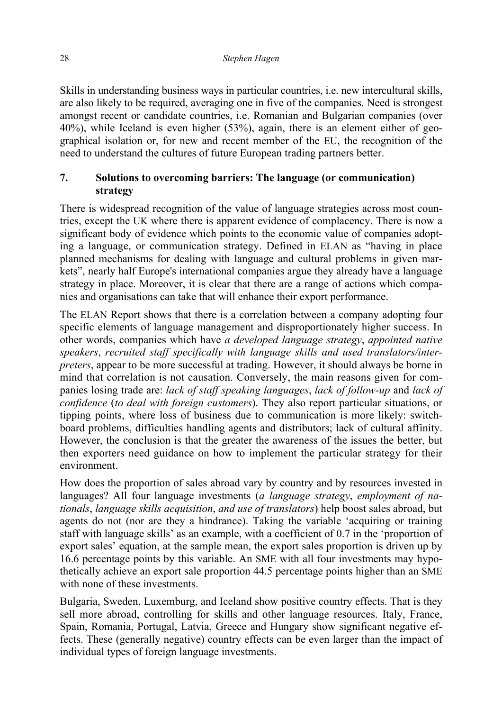Skills in understanding business ways in particular countries, i.e. new intercultural skills, are also likely to be required, averaging one in five of the companies. Need is strongest amongst recent or candidate countries, i.e. Romanian and Bulgarian companies (over 40%), while Iceland is even higher (53%), again, there is an element either of geographical isolation or, for new and recent member of the EU, the recognition of the need to understand the cultures of future European trading partners better.

### **7. Solutions to overcoming barriers: The language (or communication) strategy**

There is widespread recognition of the value of language strategies across most countries, except the UK where there is apparent evidence of complacency. There is now a significant body of evidence which points to the economic value of companies adopting a language, or communication strategy. Defined in ELAN as "having in place planned mechanisms for dealing with language and cultural problems in given markets", nearly half Europe's international companies argue they already have a language strategy in place. Moreover, it is clear that there are a range of actions which companies and organisations can take that will enhance their export performance.

The ELAN Report shows that there is a correlation between a company adopting four specific elements of language management and disproportionately higher success. In other words, companies which have *a developed language strategy*, *appointed native speakers*, *recruited staff specifically with language skills and used translators/interpreters*, appear to be more successful at trading. However, it should always be borne in mind that correlation is not causation. Conversely, the main reasons given for companies losing trade are: *lack of staff speaking languages*, *lack of follow-up* and *lack of confidence* (*to deal with foreign customers*). They also report particular situations, or tipping points, where loss of business due to communication is more likely: switchboard problems, difficulties handling agents and distributors; lack of cultural affinity. However, the conclusion is that the greater the awareness of the issues the better, but then exporters need guidance on how to implement the particular strategy for their environment.

How does the proportion of sales abroad vary by country and by resources invested in languages? All four language investments (*a language strategy*, *employment of nationals*, *language skills acquisition*, *and use of translators*) help boost sales abroad, but agents do not (nor are they a hindrance). Taking the variable 'acquiring or training staff with language skills' as an example, with a coefficient of 0.7 in the 'proportion of export sales' equation, at the sample mean, the export sales proportion is driven up by 16.6 percentage points by this variable. An SME with all four investments may hypothetically achieve an export sale proportion 44.5 percentage points higher than an SME with none of these investments.

Bulgaria, Sweden, Luxemburg, and Iceland show positive country effects. That is they sell more abroad, controlling for skills and other language resources. Italy, France, Spain, Romania, Portugal, Latvia, Greece and Hungary show significant negative effects. These (generally negative) country effects can be even larger than the impact of individual types of foreign language investments.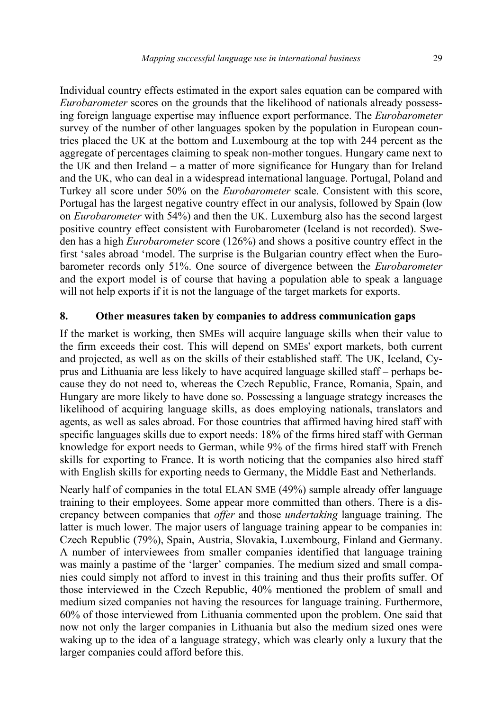Individual country effects estimated in the export sales equation can be compared with *Eurobarometer* scores on the grounds that the likelihood of nationals already possessing foreign language expertise may influence export performance. The *Eurobarometer* survey of the number of other languages spoken by the population in European countries placed the UK at the bottom and Luxembourg at the top with 244 percent as the aggregate of percentages claiming to speak non-mother tongues. Hungary came next to the UK and then Ireland – a matter of more significance for Hungary than for Ireland and the UK, who can deal in a widespread international language. Portugal, Poland and Turkey all score under 50% on the *Eurobarometer* scale. Consistent with this score, Portugal has the largest negative country effect in our analysis, followed by Spain (low on *Eurobarometer* with 54%) and then the UK. Luxemburg also has the second largest positive country effect consistent with Eurobarometer (Iceland is not recorded). Sweden has a high *Eurobarometer* score (126%) and shows a positive country effect in the first 'sales abroad 'model. The surprise is the Bulgarian country effect when the Eurobarometer records only 51%. One source of divergence between the *Eurobarometer* and the export model is of course that having a population able to speak a language will not help exports if it is not the language of the target markets for exports.

#### **8. Other measures taken by companies to address communication gaps**

If the market is working, then SMEs will acquire language skills when their value to the firm exceeds their cost. This will depend on SMEs' export markets, both current and projected, as well as on the skills of their established staff. The UK, Iceland, Cyprus and Lithuania are less likely to have acquired language skilled staff – perhaps because they do not need to, whereas the Czech Republic, France, Romania, Spain, and Hungary are more likely to have done so. Possessing a language strategy increases the likelihood of acquiring language skills, as does employing nationals, translators and agents, as well as sales abroad. For those countries that affirmed having hired staff with specific languages skills due to export needs: 18% of the firms hired staff with German knowledge for export needs to German, while 9% of the firms hired staff with French skills for exporting to France. It is worth noticing that the companies also hired staff with English skills for exporting needs to Germany, the Middle East and Netherlands.

Nearly half of companies in the total ELAN SME (49%) sample already offer language training to their employees. Some appear more committed than others. There is a discrepancy between companies that *offer* and those *undertaking* language training. The latter is much lower. The major users of language training appear to be companies in: Czech Republic (79%), Spain, Austria, Slovakia, Luxembourg, Finland and Germany. A number of interviewees from smaller companies identified that language training was mainly a pastime of the 'larger' companies. The medium sized and small companies could simply not afford to invest in this training and thus their profits suffer. Of those interviewed in the Czech Republic, 40% mentioned the problem of small and medium sized companies not having the resources for language training. Furthermore, 60% of those interviewed from Lithuania commented upon the problem. One said that now not only the larger companies in Lithuania but also the medium sized ones were waking up to the idea of a language strategy, which was clearly only a luxury that the larger companies could afford before this.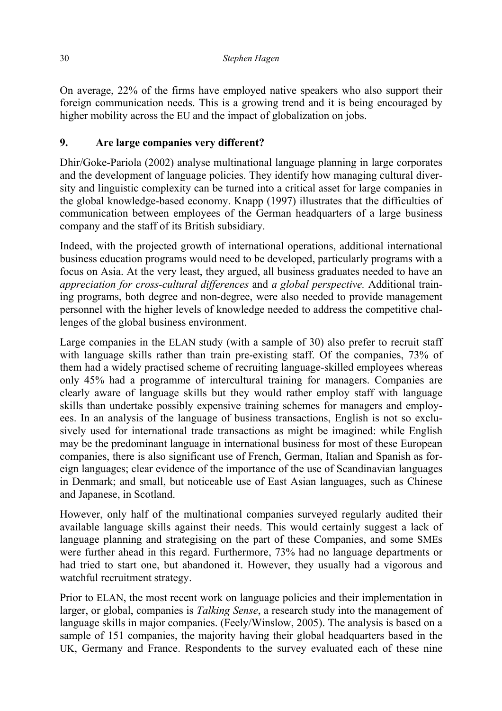On average, 22% of the firms have employed native speakers who also support their foreign communication needs. This is a growing trend and it is being encouraged by higher mobility across the EU and the impact of globalization on jobs.

## **9. Are large companies very different?**

Dhir/Goke-Pariola (2002) analyse multinational language planning in large corporates and the development of language policies. They identify how managing cultural diversity and linguistic complexity can be turned into a critical asset for large companies in the global knowledge-based economy. Knapp (1997) illustrates that the difficulties of communication between employees of the German headquarters of a large business company and the staff of its British subsidiary.

Indeed, with the projected growth of international operations, additional international business education programs would need to be developed, particularly programs with a focus on Asia. At the very least, they argued, all business graduates needed to have an *appreciation for cross-cultural differences* and *a global perspective.* Additional training programs, both degree and non-degree, were also needed to provide management personnel with the higher levels of knowledge needed to address the competitive challenges of the global business environment.

Large companies in the ELAN study (with a sample of 30) also prefer to recruit staff with language skills rather than train pre-existing staff. Of the companies, 73% of them had a widely practised scheme of recruiting language-skilled employees whereas only 45% had a programme of intercultural training for managers. Companies are clearly aware of language skills but they would rather employ staff with language skills than undertake possibly expensive training schemes for managers and employees. In an analysis of the language of business transactions, English is not so exclusively used for international trade transactions as might be imagined: while English may be the predominant language in international business for most of these European companies, there is also significant use of French, German, Italian and Spanish as foreign languages; clear evidence of the importance of the use of Scandinavian languages in Denmark; and small, but noticeable use of East Asian languages, such as Chinese and Japanese, in Scotland.

However, only half of the multinational companies surveyed regularly audited their available language skills against their needs. This would certainly suggest a lack of language planning and strategising on the part of these Companies, and some SMEs were further ahead in this regard. Furthermore, 73% had no language departments or had tried to start one, but abandoned it. However, they usually had a vigorous and watchful recruitment strategy.

Prior to ELAN, the most recent work on language policies and their implementation in larger, or global, companies is *Talking Sense*, a research study into the management of language skills in major companies. (Feely/Winslow, 2005). The analysis is based on a sample of 151 companies, the majority having their global headquarters based in the UK, Germany and France. Respondents to the survey evaluated each of these nine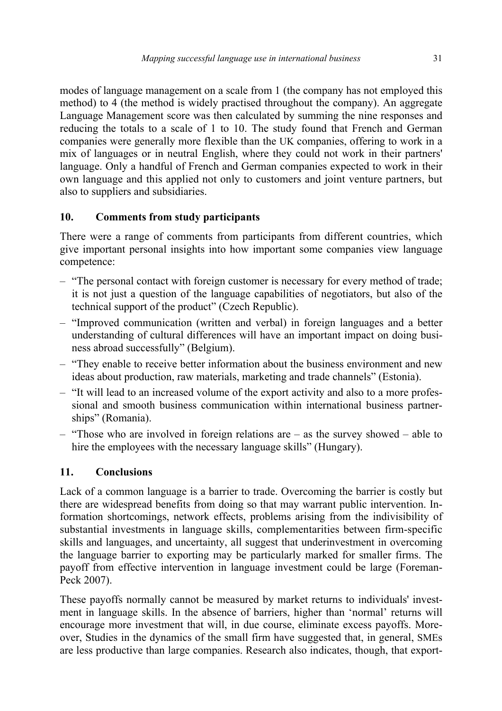modes of language management on a scale from 1 (the company has not employed this method) to 4 (the method is widely practised throughout the company). An aggregate Language Management score was then calculated by summing the nine responses and reducing the totals to a scale of 1 to 10. The study found that French and German companies were generally more flexible than the UK companies, offering to work in a mix of languages or in neutral English, where they could not work in their partners' language. Only a handful of French and German companies expected to work in their own language and this applied not only to customers and joint venture partners, but also to suppliers and subsidiaries.

## **10. Comments from study participants**

There were a range of comments from participants from different countries, which give important personal insights into how important some companies view language competence:

- "The personal contact with foreign customer is necessary for every method of trade; it is not just a question of the language capabilities of negotiators, but also of the technical support of the product" (Czech Republic).
- "Improved communication (written and verbal) in foreign languages and a better understanding of cultural differences will have an important impact on doing business abroad successfully" (Belgium).
- "They enable to receive better information about the business environment and new ideas about production, raw materials, marketing and trade channels" (Estonia).
- "It will lead to an increased volume of the export activity and also to a more professional and smooth business communication within international business partnerships" (Romania).
- "Those who are involved in foreign relations are as the survey showed able to hire the employees with the necessary language skills" (Hungary).

# **11. Conclusions**

Lack of a common language is a barrier to trade. Overcoming the barrier is costly but there are widespread benefits from doing so that may warrant public intervention. Information shortcomings, network effects, problems arising from the indivisibility of substantial investments in language skills, complementarities between firm-specific skills and languages, and uncertainty, all suggest that underinvestment in overcoming the language barrier to exporting may be particularly marked for smaller firms. The payoff from effective intervention in language investment could be large (Foreman-Peck 2007).

These payoffs normally cannot be measured by market returns to individuals' investment in language skills. In the absence of barriers, higher than 'normal' returns will encourage more investment that will, in due course, eliminate excess payoffs. Moreover, Studies in the dynamics of the small firm have suggested that, in general, SMEs are less productive than large companies. Research also indicates, though, that export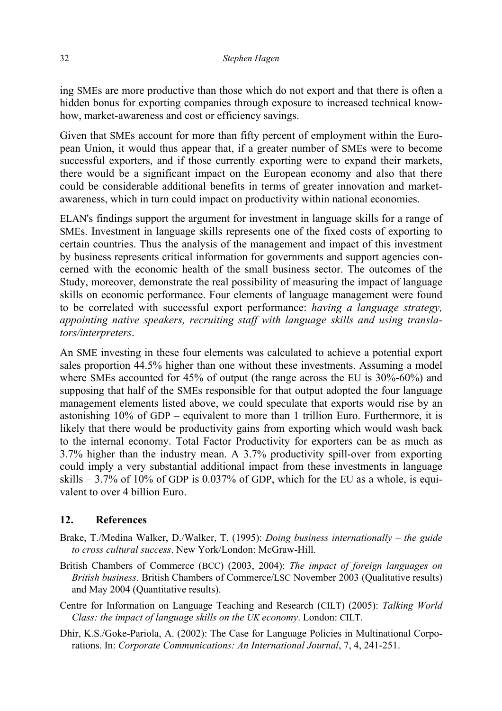ing SMEs are more productive than those which do not export and that there is often a hidden bonus for exporting companies through exposure to increased technical knowhow, market-awareness and cost or efficiency savings.

Given that SMEs account for more than fifty percent of employment within the European Union, it would thus appear that, if a greater number of SMEs were to become successful exporters, and if those currently exporting were to expand their markets, there would be a significant impact on the European economy and also that there could be considerable additional benefits in terms of greater innovation and marketawareness, which in turn could impact on productivity within national economies.

ELAN's findings support the argument for investment in language skills for a range of SMEs. Investment in language skills represents one of the fixed costs of exporting to certain countries. Thus the analysis of the management and impact of this investment by business represents critical information for governments and support agencies concerned with the economic health of the small business sector. The outcomes of the Study, moreover, demonstrate the real possibility of measuring the impact of language skills on economic performance. Four elements of language management were found to be correlated with successful export performance: *having a language strategy, appointing native speakers, recruiting staff with language skills and using translators/interpreters*.

An SME investing in these four elements was calculated to achieve a potential export sales proportion 44.5% higher than one without these investments. Assuming a model where SMEs accounted for 45% of output (the range across the EU is  $30\% - 60\%$ ) and supposing that half of the SMEs responsible for that output adopted the four language management elements listed above, we could speculate that exports would rise by an astonishing 10% of GDP – equivalent to more than 1 trillion Euro. Furthermore, it is likely that there would be productivity gains from exporting which would wash back to the internal economy. Total Factor Productivity for exporters can be as much as 3.7% higher than the industry mean. A 3.7% productivity spill-over from exporting could imply a very substantial additional impact from these investments in language skills  $-3.7\%$  of 10% of GDP is 0.037% of GDP, which for the EU as a whole, is equivalent to over 4 billion Euro.

## **12. References**

- Brake, T./Medina Walker, D./Walker, T. (1995): *Doing business internationally the guide to cross cultural success*. New York/London: McGraw-Hill.
- British Chambers of Commerce (BCC) (2003, 2004): *The impact of foreign languages on British business*. British Chambers of Commerce/LSC November 2003 (Qualitative results) and May 2004 (Quantitative results).
- Centre for Information on Language Teaching and Research (CILT) (2005): *Talking World Class: the impact of language skills on the UK economy*. London: CILT.
- Dhir, K.S./Goke-Pariola, A. (2002): The Case for Language Policies in Multinational Corporations. In: *Corporate Communications: An International Journal*, 7, 4, 241-251.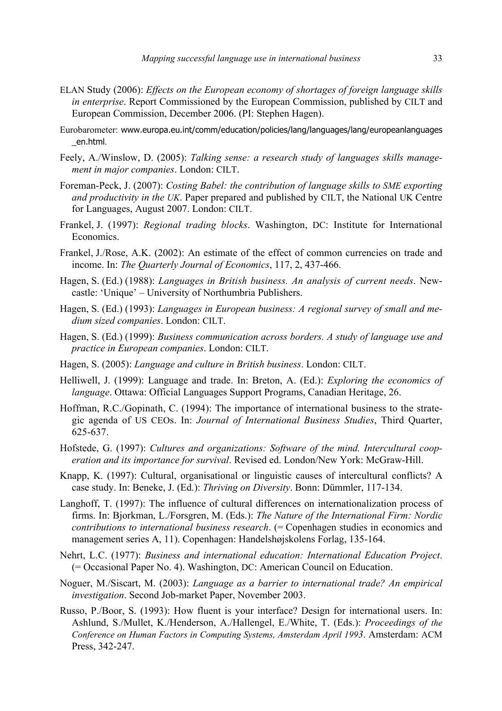- ELAN Study (2006): *Effects on the European economy of shortages of foreign language skills in enterprise*. Report Commissioned by the European Commission, published by CILT and European Commission, December 2006. (PI: Stephen Hagen).
- Eurobarometer: www.europa.eu.int/comm/education/policies/lang/languages/lang/europeanlanguages \_en.html.
- Feely, A./Winslow, D. (2005): *Talking sense: a research study of languages skills management in major companies*. London: CILT.
- Foreman-Peck, J. (2007): *Costing Babel: the contribution of language skills to SME exporting and productivity in the UK*. Paper prepared and published by CILT, the National UK Centre for Languages, August 2007. London: CILT.
- Frankel, J. (1997): *Regional trading blocks*. Washington, DC: Institute for International Economics.
- Frankel, J./Rose, A.K. (2002): An estimate of the effect of common currencies on trade and income. In: *The Quarterly Journal of Economics*, 117, 2, 437-466.
- Hagen, S. (Ed.) (1988): *Languages in British business. An analysis of current needs*. Newcastle: 'Unique' – University of Northumbria Publishers.
- Hagen, S. (Ed.) (1993): *Languages in European business: A regional survey of small and medium sized companies*. London: CILT.
- Hagen, S. (Ed.) (1999): *Business communication across borders. A study of language use and practice in European companies*. London: CILT.
- Hagen, S. (2005): *Language and culture in British business*. London: CILT.
- Helliwell, J. (1999): Language and trade. In: Breton, A. (Ed.): *Exploring the economics of language*. Ottawa: Official Languages Support Programs, Canadian Heritage, 26.
- Hoffman, R.C./Gopinath, C. (1994): The importance of international business to the strategic agenda of US CEOs. In: *Journal of International Business Studies*, Third Quarter, 625-637.
- Hofstede, G. (1997): *Cultures and organizations: Software of the mind. Intercultural cooperation and its importance for survival*. Revised ed. London/New York: McGraw-Hill.
- Knapp, K. (1997): Cultural, organisational or linguistic causes of intercultural conflicts? A case study. In: Beneke, J. (Ed.): *Thriving on Diversity*. Bonn: Dümmler, 117-134.
- Langhoff, T. (1997): The influence of cultural differences on internationalization process of firms. In: Bjorkman, L./Forsgren, M. (Eds.): *The Nature of the International Firm: Nordic contributions to international business research.* (= Copenhagen studies in economics and management series A, 11). Copenhagen: Handelshøjskolens Forlag, 135-164.
- Nehrt, L.C. (1977): *Business and international education: International Education Project*. (= Occasional Paper No. 4). Washington, DC: American Council on Education.
- Noguer, M./Siscart, M. (2003): *Language as a barrier to international trade? An empirical investigation*. Second Job-market Paper, November 2003.
- Russo, P./Boor, S. (1993): How fluent is your interface? Design for international users. In: Ashlund, S./Mullet, K./Henderson, A./Hallengel, E./White, T. (Eds.): *Proceedings of the Conference on Human Factors in Computing Systems, Amsterdam April 1993*. Amsterdam: ACM Press, 342-247.